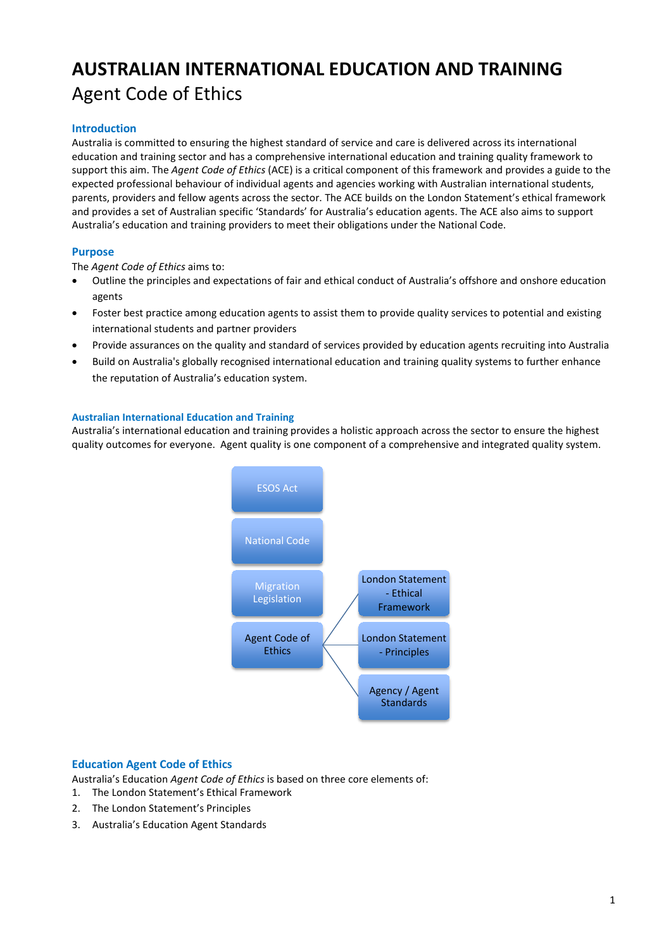# **AUSTRALIAN INTERNATIONAL EDUCATION AND TRAINING** Agent Code of Ethics

## **Introduction**

Australia is committed to ensuring the highest standard of service and care is delivered across its international education and training sector and has a comprehensive international education and training quality framework to support this aim. The *Agent Code of Ethics* (ACE) is a critical component of this framework and provides a guide to the expected professional behaviour of individual agents and agencies working with Australian international students, parents, providers and fellow agents across the sector. The ACE builds on the London Statement's ethical framework and provides a set of Australian specific 'Standards' for Australia's education agents. The ACE also aims to support Australia's education and training providers to meet their obligations under the National Code.

## **Purpose**

The *Agent Code of Ethics* aims to:

- Outline the principles and expectations of fair and ethical conduct of Australia's offshore and onshore education agents
- Foster best practice among education agents to assist them to provide quality services to potential and existing international students and partner providers
- Provide assurances on the quality and standard of services provided by education agents recruiting into Australia
- Build on Australia's globally recognised international education and training quality systems to further enhance the reputation of Australia's education system.

#### **Australian International Education and Training**

Australia's international education and training provides a holistic approach across the sector to ensure the highest quality outcomes for everyone. Agent quality is one component of a comprehensive and integrated quality system.



#### **Education Agent Code of Ethics**

Australia's Education *Agent Code of Ethics* is based on three core elements of:

- 1. The London Statement's Ethical Framework
- 2. The London Statement's Principles
- 3. Australia's Education Agent Standards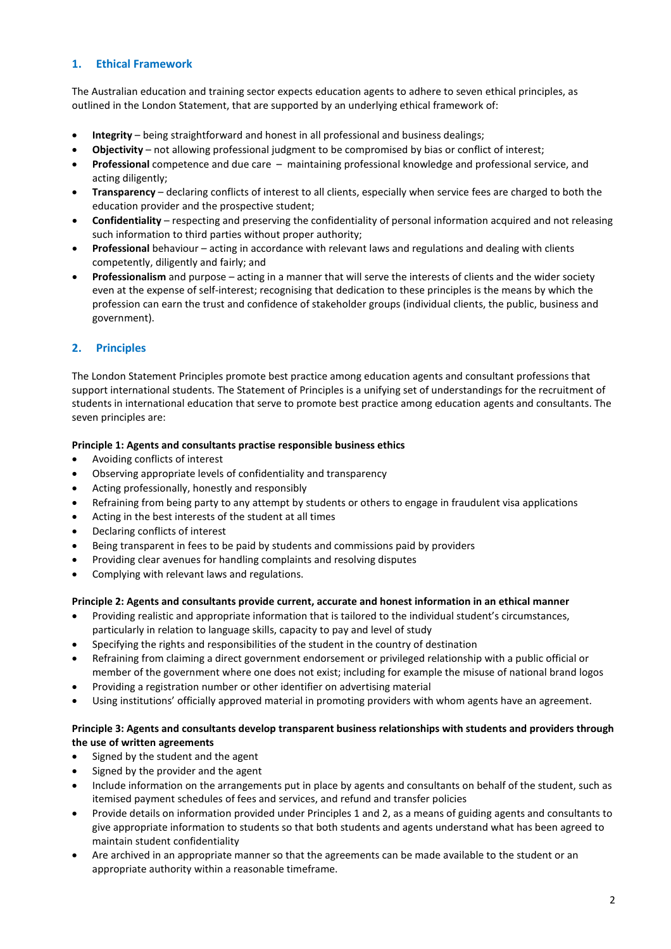#### **1. Ethical Framework**

The Australian education and training sector expects education agents to adhere to seven ethical principles, as outlined in the London Statement, that are supported by an underlying ethical framework of:

- **Integrity** being straightforward and honest in all professional and business dealings;
- **Objectivity** not allowing professional judgment to be compromised by bias or conflict of interest;
- **Professional** competence and due care maintaining professional knowledge and professional service, and acting diligently;
- **Transparency** declaring conflicts of interest to all clients, especially when service fees are charged to both the education provider and the prospective student;
- **Confidentiality** respecting and preserving the confidentiality of personal information acquired and not releasing such information to third parties without proper authority;
- **Professional** behaviour acting in accordance with relevant laws and regulations and dealing with clients competently, diligently and fairly; and
- **Professionalism** and purpose acting in a manner that will serve the interests of clients and the wider society even at the expense of self-interest; recognising that dedication to these principles is the means by which the profession can earn the trust and confidence of stakeholder groups (individual clients, the public, business and government).

## **2. Principles**

The London Statement Principles promote best practice among education agents and consultant professions that support international students. The Statement of Principles is a unifying set of understandings for the recruitment of students in international education that serve to promote best practice among education agents and consultants. The seven principles are:

#### **Principle 1: Agents and consultants practise responsible business ethics**

- Avoiding conflicts of interest
- Observing appropriate levels of confidentiality and transparency
- Acting professionally, honestly and responsibly
- Refraining from being party to any attempt by students or others to engage in fraudulent visa applications
- Acting in the best interests of the student at all times
- Declaring conflicts of interest
- Being transparent in fees to be paid by students and commissions paid by providers
- Providing clear avenues for handling complaints and resolving disputes
- Complying with relevant laws and regulations.

#### **Principle 2: Agents and consultants provide current, accurate and honest information in an ethical manner**

- Providing realistic and appropriate information that is tailored to the individual student's circumstances, particularly in relation to language skills, capacity to pay and level of study
- Specifying the rights and responsibilities of the student in the country of destination
- Refraining from claiming a direct government endorsement or privileged relationship with a public official or member of the government where one does not exist; including for example the misuse of national brand logos
- Providing a registration number or other identifier on advertising material
- Using institutions' officially approved material in promoting providers with whom agents have an agreement.

#### **Principle 3: Agents and consultants develop transparent business relationships with students and providers through the use of written agreements**

- Signed by the student and the agent
- Signed by the provider and the agent
- Include information on the arrangements put in place by agents and consultants on behalf of the student, such as itemised payment schedules of fees and services, and refund and transfer policies
- Provide details on information provided under Principles 1 and 2, as a means of guiding agents and consultants to give appropriate information to students so that both students and agents understand what has been agreed to maintain student confidentiality
- Are archived in an appropriate manner so that the agreements can be made available to the student or an appropriate authority within a reasonable timeframe.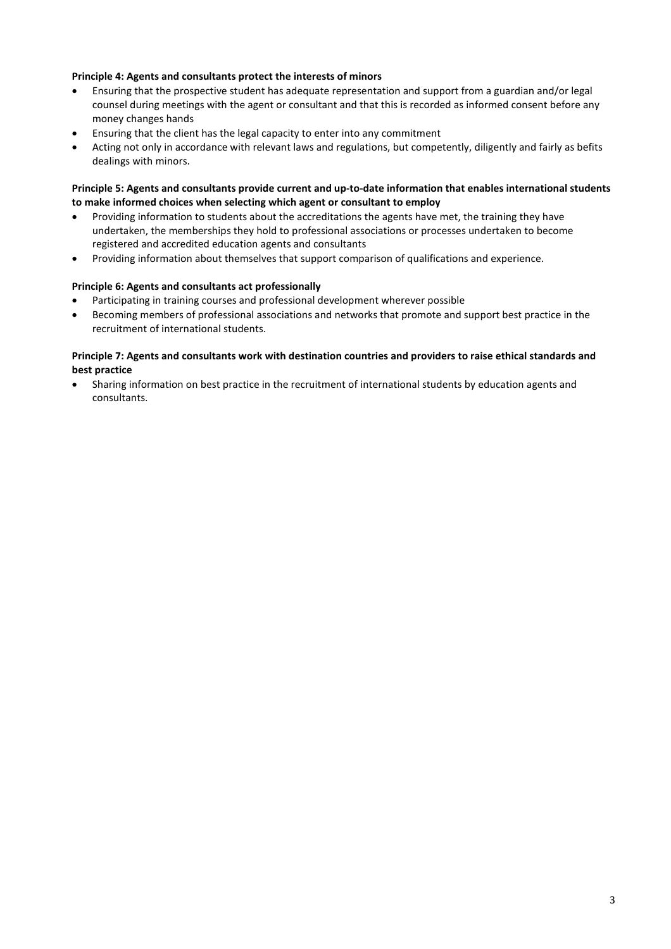#### **Principle 4: Agents and consultants protect the interests of minors**

- Ensuring that the prospective student has adequate representation and support from a guardian and/or legal counsel during meetings with the agent or consultant and that this is recorded as informed consent before any money changes hands
- Ensuring that the client has the legal capacity to enter into any commitment
- Acting not only in accordance with relevant laws and regulations, but competently, diligently and fairly as befits dealings with minors.

**Principle 5: Agents and consultants provide current and up-to-date information that enables international students to make informed choices when selecting which agent or consultant to employ** 

- Providing information to students about the accreditations the agents have met, the training they have undertaken, the memberships they hold to professional associations or processes undertaken to become registered and accredited education agents and consultants
- Providing information about themselves that support comparison of qualifications and experience.

#### **Principle 6: Agents and consultants act professionally**

- Participating in training courses and professional development wherever possible
- Becoming members of professional associations and networks that promote and support best practice in the recruitment of international students.

#### **Principle 7: Agents and consultants work with destination countries and providers to raise ethical standards and best practice**

• Sharing information on best practice in the recruitment of international students by education agents and consultants.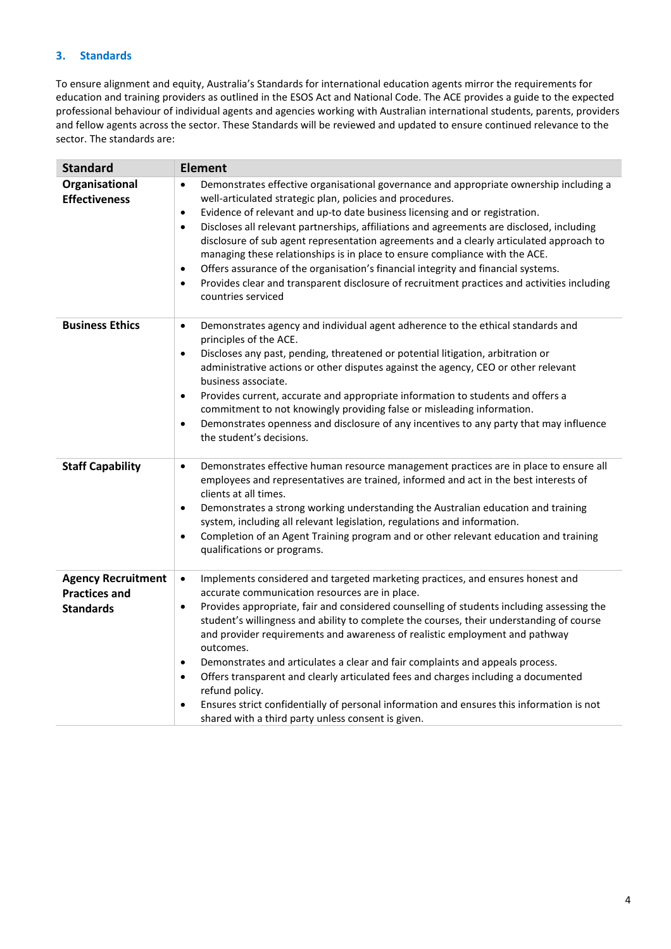## **3. Standards**

To ensure alignment and equity, Australia's Standards for international education agents mirror the requirements for education and training providers as outlined in the ESOS Act and National Code. The ACE provides a guide to the expected professional behaviour of individual agents and agencies working with Australian international students, parents, providers and fellow agents across the sector. These Standards will be reviewed and updated to ensure continued relevance to the sector. The standards are:

| <b>Standard</b>                                                       | <b>Element</b>                                                                                                                                                                                                                                                                                                                                                                                                                                                                                                                                                                                                                                                                                                                                                                                                                     |
|-----------------------------------------------------------------------|------------------------------------------------------------------------------------------------------------------------------------------------------------------------------------------------------------------------------------------------------------------------------------------------------------------------------------------------------------------------------------------------------------------------------------------------------------------------------------------------------------------------------------------------------------------------------------------------------------------------------------------------------------------------------------------------------------------------------------------------------------------------------------------------------------------------------------|
| Organisational<br><b>Effectiveness</b>                                | Demonstrates effective organisational governance and appropriate ownership including a<br>$\bullet$<br>well-articulated strategic plan, policies and procedures.<br>Evidence of relevant and up-to date business licensing and or registration.<br>$\bullet$<br>Discloses all relevant partnerships, affiliations and agreements are disclosed, including<br>$\bullet$<br>disclosure of sub agent representation agreements and a clearly articulated approach to<br>managing these relationships is in place to ensure compliance with the ACE.<br>Offers assurance of the organisation's financial integrity and financial systems.<br>$\bullet$<br>Provides clear and transparent disclosure of recruitment practices and activities including<br>$\bullet$<br>countries serviced                                               |
| <b>Business Ethics</b>                                                | Demonstrates agency and individual agent adherence to the ethical standards and<br>$\bullet$<br>principles of the ACE.<br>Discloses any past, pending, threatened or potential litigation, arbitration or<br>$\bullet$<br>administrative actions or other disputes against the agency, CEO or other relevant<br>business associate.<br>Provides current, accurate and appropriate information to students and offers a<br>$\bullet$<br>commitment to not knowingly providing false or misleading information.<br>Demonstrates openness and disclosure of any incentives to any party that may influence<br>$\bullet$<br>the student's decisions.                                                                                                                                                                                   |
| <b>Staff Capability</b>                                               | Demonstrates effective human resource management practices are in place to ensure all<br>$\bullet$<br>employees and representatives are trained, informed and act in the best interests of<br>clients at all times.<br>Demonstrates a strong working understanding the Australian education and training<br>$\bullet$<br>system, including all relevant legislation, regulations and information.<br>Completion of an Agent Training program and or other relevant education and training<br>$\bullet$<br>qualifications or programs.                                                                                                                                                                                                                                                                                              |
| <b>Agency Recruitment</b><br><b>Practices and</b><br><b>Standards</b> | Implements considered and targeted marketing practices, and ensures honest and<br>$\bullet$<br>accurate communication resources are in place.<br>Provides appropriate, fair and considered counselling of students including assessing the<br>$\bullet$<br>student's willingness and ability to complete the courses, their understanding of course<br>and provider requirements and awareness of realistic employment and pathway<br>outcomes.<br>Demonstrates and articulates a clear and fair complaints and appeals process.<br>$\bullet$<br>Offers transparent and clearly articulated fees and charges including a documented<br>$\bullet$<br>refund policy.<br>Ensures strict confidentially of personal information and ensures this information is not<br>$\bullet$<br>shared with a third party unless consent is given. |